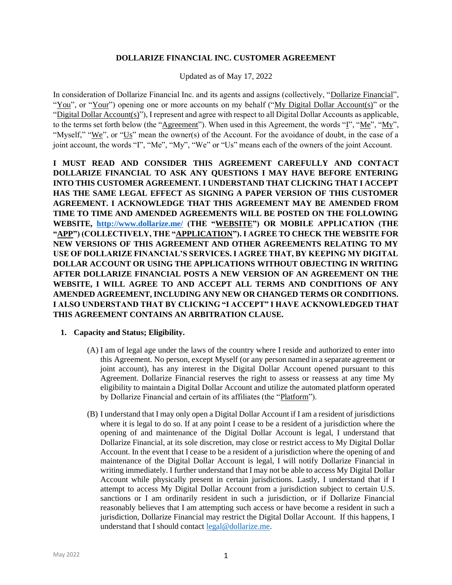#### **DOLLARIZE FINANCIAL INC. CUSTOMER AGREEMENT**

Updated as of May 17, 2022

In consideration of Dollarize Financial Inc. and its agents and assigns (collectively, "Dollarize Financial", "You", or "Your") opening one or more accounts on my behalf ("My Digital Dollar Account(s)" or the "Digital Dollar Account(s)"), I represent and agree with respect to all Digital Dollar Accounts as applicable, to the terms set forth below (the "Agreement"). When used in this Agreement, the words "I", "Me", "My", "Myself," "We", or "Us" mean the owner(s) of the Account. For the avoidance of doubt, in the case of a joint account, the words "I", "Me", "My", "We" or "Us" means each of the owners of the joint Account.

**I MUST READ AND CONSIDER THIS AGREEMENT CAREFULLY AND CONTACT DOLLARIZE FINANCIAL TO ASK ANY QUESTIONS I MAY HAVE BEFORE ENTERING INTO THIS CUSTOMER AGREEMENT. I UNDERSTAND THAT CLICKING THAT I ACCEPT HAS THE SAME LEGAL EFFECT AS SIGNING A PAPER VERSION OF THIS CUSTOMER AGREEMENT. I ACKNOWLEDGE THAT THIS AGREEMENT MAY BE AMENDED FROM TIME TO TIME AND AMENDED AGREEMENTS WILL BE POSTED ON THE FOLLOWING WEBSITE, <http://www.dollarize.me/> (THE "WEBSITE") OR MOBILE APPLICATION (THE "APP") (COLLECTIVELY, THE "APPLICATION"). I AGREE TO CHECK THE WEBSITE FOR NEW VERSIONS OF THIS AGREEMENT AND OTHER AGREEMENTS RELATING TO MY USE OF DOLLARIZE FINANCIAL'S SERVICES. I AGREE THAT, BY KEEPING MY DIGITAL DOLLAR ACCOUNT OR USING THE APPLICATIONS WITHOUT OBJECTING IN WRITING AFTER DOLLARIZE FINANCIAL POSTS A NEW VERSION OF AN AGREEMENT ON THE WEBSITE, I WILL AGREE TO AND ACCEPT ALL TERMS AND CONDITIONS OF ANY AMENDED AGREEMENT, INCLUDING ANY NEW OR CHANGED TERMS OR CONDITIONS. I ALSO UNDERSTAND THAT BY CLICKING "I ACCEPT" I HAVE ACKNOWLEDGED THAT THIS AGREEMENT CONTAINS AN ARBITRATION CLAUSE.**

### **1. Capacity and Status; Eligibility.**

- (A) I am of legal age under the laws of the country where I reside and authorized to enter into this Agreement. No person, except Myself (or any person named in a separate agreement or joint account), has any interest in the Digital Dollar Account opened pursuant to this Agreement. Dollarize Financial reserves the right to assess or reassess at any time My eligibility to maintain a Digital Dollar Account and utilize the automated platform operated by Dollarize Financial and certain of its affiliates (the "Platform").
- (B) I understand that I may only open a Digital Dollar Account if I am a resident of jurisdictions where it is legal to do so. If at any point I cease to be a resident of a jurisdiction where the opening of and maintenance of the Digital Dollar Account is legal, I understand that Dollarize Financial, at its sole discretion, may close or restrict access to My Digital Dollar Account. In the event that I cease to be a resident of a jurisdiction where the opening of and maintenance of the Digital Dollar Account is legal, I will notify Dollarize Financial in writing immediately. I further understand that I may not be able to access My Digital Dollar Account while physically present in certain jurisdictions. Lastly, I understand that if I attempt to access My Digital Dollar Account from a jurisdiction subject to certain U.S. sanctions or I am ordinarily resident in such a jurisdiction, or if Dollarize Financial reasonably believes that I am attempting such access or have become a resident in such a jurisdiction, Dollarize Financial may restrict the Digital Dollar Account. If this happens, I understand that I should contact [legal@dollarize.me.](mailto:legal@dollarize.me)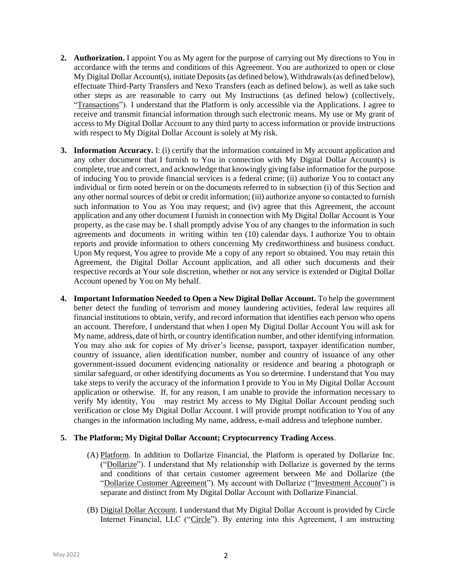- **2. Authorization.** I appoint You as My agent for the purpose of carrying out My directions to You in accordance with the terms and conditions of this Agreement. You are authorized to open or close My Digital Dollar Account(s), initiate Deposits (as defined below), Withdrawals (as defined below), effectuate Third-Party Transfers and Nexo Transfers (each as defined below), as well as take such other steps as are reasonable to carry out My Instructions (as defined below) (collectively, "Transactions"). I understand that the Platform is only accessible via the Applications. I agree to receive and transmit financial information through such electronic means. My use or My grant of access to My Digital Dollar Account to any third party to access information or provide instructions with respect to My Digital Dollar Account is solely at My risk.
- **3. Information Accuracy.** I: (i) certify that the information contained in My account application and any other document that I furnish to You in connection with My Digital Dollar Account(s) is complete, true and correct, and acknowledge that knowingly giving false information for the purpose of inducing You to provide financial services is a federal crime; (ii) authorize You to contact any individual or firm noted herein or on the documents referred to in subsection (i) of this Section and any other normal sources of debit or credit information; (iii) authorize anyone so contacted to furnish such information to You as You may request; and (iv) agree that this Agreement, the account application and any other document I furnish in connection with My Digital Dollar Account is Your property, as the case may be. I shall promptly advise You of any changes to the information in such agreements and documents in writing within ten (10) calendar days. I authorize You to obtain reports and provide information to others concerning My creditworthiness and business conduct. Upon My request, You agree to provide Me a copy of any report so obtained. You may retain this Agreement, the Digital Dollar Account application, and all other such documents and their respective records at Your sole discretion, whether or not any service is extended or Digital Dollar Account opened by You on My behalf.
- **4. Important Information Needed to Open a New Digital Dollar Account.** To help the government better detect the funding of terrorism and money laundering activities, federal law requires all financial institutions to obtain, verify, and record information that identifies each person who opens an account. Therefore, I understand that when I open My Digital Dollar Account You will ask for My name, address, date of birth, or country identification number, and other identifying information. You may also ask for copies of My driver's license, passport, taxpayer identification number, country of issuance, alien identification number, number and country of issuance of any other government-issued document evidencing nationality or residence and bearing a photograph or similar safeguard, or other identifying documents as You so determine. I understand that You may take steps to verify the accuracy of the information I provide to You in My Digital Dollar Account application or otherwise. If, for any reason, I am unable to provide the information necessary to verify My identity, You may restrict My access to My Digital Dollar Account pending such verification or close My Digital Dollar Account. I will provide prompt notification to You of any changes in the information including My name, address, e-mail address and telephone number.

### **5. The Platform; My Digital Dollar Account; Cryptocurrency Trading Access**.

- (A) Platform. In addition to Dollarize Financial, the Platform is operated by Dollarize Inc. ("Dollarize"). I understand that My relationship with Dollarize is governed by the terms and conditions of that certain customer agreement between Me and Dollarize (the "Dollarize Customer Agreement"). My account with Dollarize ("Investment Account") is separate and distinct from My Digital Dollar Account with Dollarize Financial.
- (B) Digital Dollar Account. I understand that My Digital Dollar Account is provided by Circle Internet Financial, LLC ("Circle"). By entering into this Agreement, I am instructing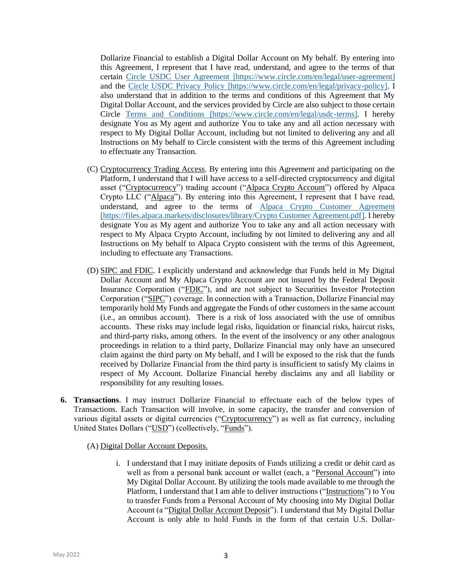Dollarize Financial to establish a Digital Dollar Account on My behalf. By entering into this Agreement, I represent that I have read, understand, and agree to the terms of that certain [Circle USDC User Agreement](https://www.circle.com/en/legal/user-agreement) [https://www.circle.com/en/legal/user-agreement] and the [Circle USDC Privacy Policy](https://www.circle.com/en/legal/privacy-policy) [https://www.circle.com/en/legal/privacy-policy]. I also understand that in addition to the terms and conditions of this Agreement that My Digital Dollar Account, and the services provided by Circle are also subject to those certain Circle Terms [and Conditions](https://www.circle.com/en/legal/usdc-terms) [https://www.circle.com/en/legal/usdc-terms]. I hereby designate You as My agent and authorize You to take any and all action necessary with respect to My Digital Dollar Account, including but not limited to delivering any and all Instructions on My behalf to Circle consistent with the terms of this Agreement including to effectuate any Transaction.

- (C) Cryptocurrency Trading Access. By entering into this Agreement and participating on the Platform, I understand that I will have access to a self-directed cryptocurrency and digital asset ("Cryptocurrency") trading account ("Alpaca Crypto Account") offered by Alpaca Crypto LLC ("Alpaca"). By entering into this Agreement, I represent that I have read, understand, and agree to the terms of [Alpaca Crypto Customer Agreement](https://files.alpaca.markets/disclosures/library/Crypto%20Customer%20Agreement.pdf) [https://files.alpaca.markets/disclosures/library/Crypto Customer Agreement.pdf]. I hereby designate You as My agent and authorize You to take any and all action necessary with respect to My Alpaca Crypto Account, including by not limited to delivering any and all Instructions on My behalf to Alpaca Crypto consistent with the terms of this Agreement, including to effectuate any Transactions.
- (D) SIPC and FDIC. I explicitly understand and acknowledge that Funds held in My Digital Dollar Account and My Alpaca Crypto Account are not insured by the Federal Deposit Insurance Corporation ("FDIC"), and are not subject to Securities Investor Protection Corporation ("SIPC") coverage. In connection with a Transaction, Dollarize Financial may temporarily hold My Funds and aggregate the Funds of other customers in the same account (i.e., an omnibus account). There is a risk of loss associated with the use of omnibus accounts. These risks may include legal risks, liquidation or financial risks, haircut risks, and third-party risks, among others. In the event of the insolvency or any other analogous proceedings in relation to a third party, Dollarize Financial may only have an unsecured claim against the third party on My behalf, and I will be exposed to the risk that the funds received by Dollarize Financial from the third party is insufficient to satisfy My claims in respect of My Account. Dollarize Financial hereby disclaims any and all liability or responsibility for any resulting losses.
- **6. Transactions**. I may instruct Dollarize Financial to effectuate each of the below types of Transactions. Each Transaction will involve, in some capacity, the transfer and conversion of various digital assets or digital currencies ("Cryptocurrency") as well as fiat currency, including United States Dollars ("USD") (collectively, "Funds").
	- (A) Digital Dollar Account Deposits.
		- i. I understand that I may initiate deposits of Funds utilizing a credit or debit card as well as from a personal bank account or wallet (each, a "Personal Account") into My Digital Dollar Account. By utilizing the tools made available to me through the Platform, I understand that I am able to deliver instructions ("Instructions") to You to transfer Funds from a Personal Account of My choosing into My Digital Dollar Account (a "Digital Dollar Account Deposit"). I understand that My Digital Dollar Account is only able to hold Funds in the form of that certain U.S. Dollar-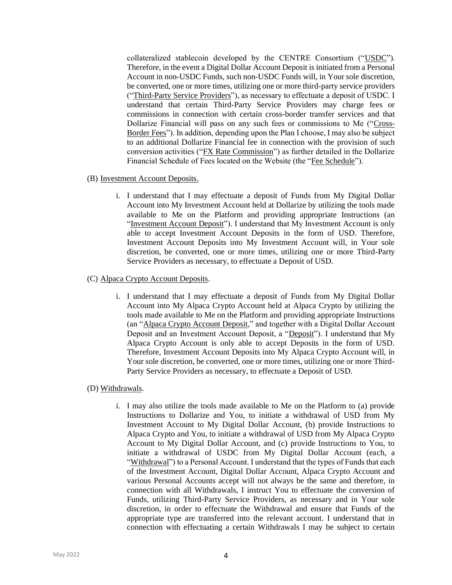collateralized stablecoin developed by the CENTRE Consortium ("USDC"). Therefore, in the event a Digital Dollar Account Deposit is initiated from a Personal Account in non-USDC Funds, such non-USDC Funds will, in Your sole discretion, be converted, one or more times, utilizing one or more third-party service providers ("Third-Party Service Providers"), as necessary to effectuate a deposit of USDC. I understand that certain Third-Party Service Providers may charge fees or commissions in connection with certain cross-border transfer services and that Dollarize Financial will pass on any such fees or commissions to Me ("Cross-Border Fees"). In addition, depending upon the Plan I choose, I may also be subject to an additional Dollarize Financial fee in connection with the provision of such conversion activities ("FX Rate Commission") as further detailed in the Dollarize Financial Schedule of Fees located on the Website (the "Fee Schedule").

#### (B) Investment Account Deposits.

i. I understand that I may effectuate a deposit of Funds from My Digital Dollar Account into My Investment Account held at Dollarize by utilizing the tools made available to Me on the Platform and providing appropriate Instructions (an "Investment Account Deposit"). I understand that My Investment Account is only able to accept Investment Account Deposits in the form of USD. Therefore, Investment Account Deposits into My Investment Account will, in Your sole discretion, be converted, one or more times, utilizing one or more Third-Party Service Providers as necessary, to effectuate a Deposit of USD.

## (C) Alpaca Crypto Account Deposits.

i. I understand that I may effectuate a deposit of Funds from My Digital Dollar Account into My Alpaca Crypto Account held at Alpaca Crypto by utilizing the tools made available to Me on the Platform and providing appropriate Instructions (an "Alpaca Crypto Account Deposit," and together with a Digital Dollar Account Deposit and an Investment Account Deposit, a "Deposit"). I understand that My Alpaca Crypto Account is only able to accept Deposits in the form of USD. Therefore, Investment Account Deposits into My Alpaca Crypto Account will, in Your sole discretion, be converted, one or more times, utilizing one or more Third-Party Service Providers as necessary, to effectuate a Deposit of USD.

### (D) Withdrawals.

i. I may also utilize the tools made available to Me on the Platform to (a) provide Instructions to Dollarize and You, to initiate a withdrawal of USD from My Investment Account to My Digital Dollar Account, (b) provide Instructions to Alpaca Crypto and You, to initiate a withdrawal of USD from My Alpaca Crypto Account to My Digital Dollar Account, and (c) provide Instructions to You, to initiate a withdrawal of USDC from My Digital Dollar Account (each, a "Withdrawal") to a Personal Account. I understand that the types of Funds that each of the Investment Account, Digital Dollar Account, Alpaca Crypto Account and various Personal Accounts accept will not always be the same and therefore, in connection with all Withdrawals, I instruct You to effectuate the conversion of Funds, utilizing Third-Party Service Providers, as necessary and in Your sole discretion, in order to effectuate the Withdrawal and ensure that Funds of the appropriate type are transferred into the relevant account. I understand that in connection with effectuating a certain Withdrawals I may be subject to certain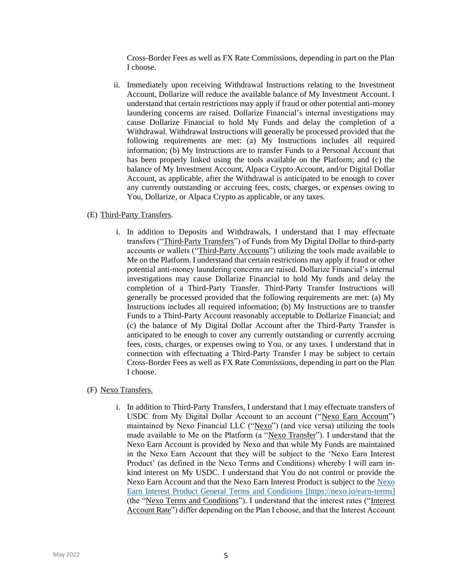Cross-Border Fees as well as FX Rate Commissions, depending in part on the Plan I choose.

ii. Immediately upon receiving Withdrawal Instructions relating to the Investment Account, Dollarize will reduce the available balance of My Investment Account. I understand that certain restrictions may apply if fraud or other potential anti-money laundering concerns are raised. Dollarize Financial's internal investigations may cause Dollarize Financial to hold My Funds and delay the completion of a Withdrawal. Withdrawal Instructions will generally be processed provided that the following requirements are met: (a) My Instructions includes all required information; (b) My Instructions are to transfer Funds to a Personal Account that has been properly linked using the tools available on the Platform; and (c) the balance of My Investment Account, Alpaca Crypto Account, and/or Digital Dollar Account, as applicable, after the Withdrawal is anticipated to be enough to cover any currently outstanding or accruing fees, costs, charges, or expenses owing to You, Dollarize, or Alpaca Crypto as applicable, or any taxes.

### (E) Third-Party Transfers.

i. In addition to Deposits and Withdrawals, I understand that I may effectuate transfers ("Third-Party Transfers") of Funds from My Digital Dollar to third-party accounts or wallets ("Third-Party Accounts") utilizing the tools made available to Me on the Platform. I understand that certain restrictions may apply if fraud or other potential anti-money laundering concerns are raised. Dollarize Financial's internal investigations may cause Dollarize Financial to hold My funds and delay the completion of a Third-Party Transfer. Third-Party Transfer Instructions will generally be processed provided that the following requirements are met: (a) My Instructions includes all required information; (b) My Instructions are to transfer Funds to a Third-Party Account reasonably acceptable to Dollarize Financial; and (c) the balance of My Digital Dollar Account after the Third-Party Transfer is anticipated to be enough to cover any currently outstanding or currently accruing fees, costs, charges, or expenses owing to You, or any taxes. I understand that in connection with effectuating a Third-Party Transfer I may be subject to certain Cross-Border Fees as well as FX Rate Commissions, depending in part on the Plan I choose.

# (F) Nexo Transfers.

i. In addition to Third-Party Transfers, I understand that I may effectuate transfers of USDC from My Digital Dollar Account to an account ("Nexo Earn Account") maintained by Nexo Financial LLC ("Nexo") (and vice versa) utilizing the tools made available to Me on the Platform (a "Nexo Transfer"). I understand that the Nexo Earn Account is provided by Nexo and that while My Funds are maintained in the Nexo Earn Account that they will be subject to the 'Nexo Earn Interest Product' (as defined in the Nexo Terms and Conditions) whereby I will earn inkind interest on My USDC. I understand that You do not control or provide the Nexo Earn Account and that the Nexo Earn Interest Product is subject to the [Nexo](https://nexo.io/earn-terms)  [Earn Interest Product General Terms and Conditions](https://nexo.io/earn-terms) [https://nexo.io/earn-terms] (the "Nexo Terms and Conditions"). I understand that the interest rates ("Interest Account Rate") differ depending on the Plan I choose, and that the Interest Account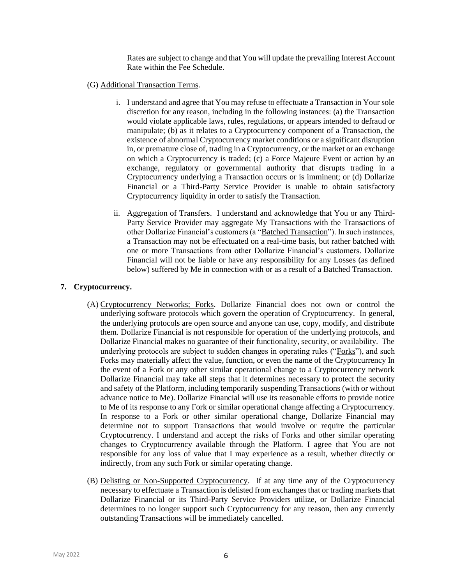Rates are subject to change and that You will update the prevailing Interest Account Rate within the Fee Schedule.

- (G) Additional Transaction Terms.
	- i. I understand and agree that You may refuse to effectuate a Transaction in Your sole discretion for any reason, including in the following instances: (a) the Transaction would violate applicable laws, rules, regulations, or appears intended to defraud or manipulate; (b) as it relates to a Cryptocurrency component of a Transaction, the existence of abnormal Cryptocurrency market conditions or a significant disruption in, or premature close of, trading in a Cryptocurrency, or the market or an exchange on which a Cryptocurrency is traded; (c) a Force Majeure Event or action by an exchange, regulatory or governmental authority that disrupts trading in a Cryptocurrency underlying a Transaction occurs or is imminent; or (d) Dollarize Financial or a Third-Party Service Provider is unable to obtain satisfactory Cryptocurrency liquidity in order to satisfy the Transaction.
	- ii. Aggregation of Transfers. I understand and acknowledge that You or any Third-Party Service Provider may aggregate My Transactions with the Transactions of other Dollarize Financial's customers (a "Batched Transaction"). In such instances, a Transaction may not be effectuated on a real-time basis, but rather batched with one or more Transactions from other Dollarize Financial's customers. Dollarize Financial will not be liable or have any responsibility for any Losses (as defined below) suffered by Me in connection with or as a result of a Batched Transaction.

### **7. Cryptocurrency.**

- (A) Cryptocurrency Networks; Forks. Dollarize Financial does not own or control the underlying software protocols which govern the operation of Cryptocurrency. In general, the underlying protocols are open source and anyone can use, copy, modify, and distribute them. Dollarize Financial is not responsible for operation of the underlying protocols, and Dollarize Financial makes no guarantee of their functionality, security, or availability. The underlying protocols are subject to sudden changes in operating rules ("Forks"), and such Forks may materially affect the value, function, or even the name of the Cryptocurrency In the event of a Fork or any other similar operational change to a Cryptocurrency network Dollarize Financial may take all steps that it determines necessary to protect the security and safety of the Platform, including temporarily suspending Transactions (with or without advance notice to Me). Dollarize Financial will use its reasonable efforts to provide notice to Me of its response to any Fork or similar operational change affecting a Cryptocurrency. In response to a Fork or other similar operational change, Dollarize Financial may determine not to support Transactions that would involve or require the particular Cryptocurrency. I understand and accept the risks of Forks and other similar operating changes to Cryptocurrency available through the Platform. I agree that You are not responsible for any loss of value that I may experience as a result, whether directly or indirectly, from any such Fork or similar operating change.
- (B) Delisting or Non-Supported Cryptocurrency. If at any time any of the Cryptocurrency necessary to effectuate a Transaction is delisted from exchanges that or trading markets that Dollarize Financial or its Third-Party Service Providers utilize, or Dollarize Financial determines to no longer support such Cryptocurrency for any reason, then any currently outstanding Transactions will be immediately cancelled.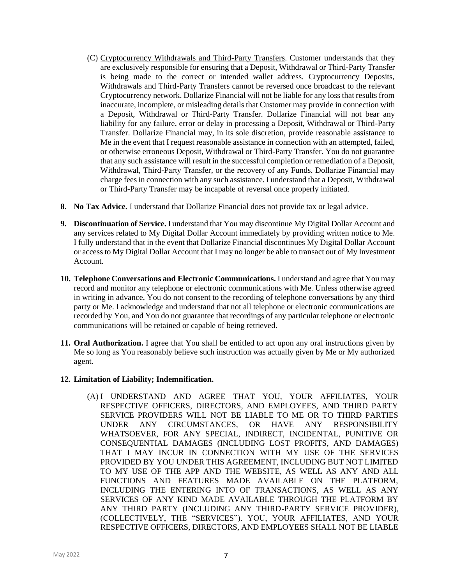- (C) Cryptocurrency Withdrawals and Third-Party Transfers. Customer understands that they are exclusively responsible for ensuring that a Deposit, Withdrawal or Third-Party Transfer is being made to the correct or intended wallet address. Cryptocurrency Deposits, Withdrawals and Third-Party Transfers cannot be reversed once broadcast to the relevant Cryptocurrency network. Dollarize Financial will not be liable for any loss that results from inaccurate, incomplete, or misleading details that Customer may provide in connection with a Deposit, Withdrawal or Third-Party Transfer. Dollarize Financial will not bear any liability for any failure, error or delay in processing a Deposit, Withdrawal or Third-Party Transfer. Dollarize Financial may, in its sole discretion, provide reasonable assistance to Me in the event that I request reasonable assistance in connection with an attempted, failed, or otherwise erroneous Deposit, Withdrawal or Third-Party Transfer. You do not guarantee that any such assistance will result in the successful completion or remediation of a Deposit, Withdrawal, Third-Party Transfer, or the recovery of any Funds. Dollarize Financial may charge fees in connection with any such assistance. I understand that a Deposit, Withdrawal or Third-Party Transfer may be incapable of reversal once properly initiated.
- **8. No Tax Advice.** I understand that Dollarize Financial does not provide tax or legal advice.
- **9. Discontinuation of Service.** I understand that You may discontinue My Digital Dollar Account and any services related to My Digital Dollar Account immediately by providing written notice to Me. I fully understand that in the event that Dollarize Financial discontinues My Digital Dollar Account or access to My Digital Dollar Account that I may no longer be able to transact out of My Investment Account.
- **10. Telephone Conversations and Electronic Communications.** I understand and agree that You may record and monitor any telephone or electronic communications with Me. Unless otherwise agreed in writing in advance, You do not consent to the recording of telephone conversations by any third party or Me. I acknowledge and understand that not all telephone or electronic communications are recorded by You, and You do not guarantee that recordings of any particular telephone or electronic communications will be retained or capable of being retrieved.
- **11. Oral Authorization.** I agree that You shall be entitled to act upon any oral instructions given by Me so long as You reasonably believe such instruction was actually given by Me or My authorized agent.

### **12. Limitation of Liability; Indemnification.**

(A) I UNDERSTAND AND AGREE THAT YOU, YOUR AFFILIATES, YOUR RESPECTIVE OFFICERS, DIRECTORS, AND EMPLOYEES, AND THIRD PARTY SERVICE PROVIDERS WILL NOT BE LIABLE TO ME OR TO THIRD PARTIES UNDER ANY CIRCUMSTANCES, OR HAVE ANY RESPONSIBILITY WHATSOEVER, FOR ANY SPECIAL, INDIRECT, INCIDENTAL, PUNITIVE OR CONSEQUENTIAL DAMAGES (INCLUDING LOST PROFITS, AND DAMAGES) THAT I MAY INCUR IN CONNECTION WITH MY USE OF THE SERVICES PROVIDED BY YOU UNDER THIS AGREEMENT, INCLUDING BUT NOT LIMITED TO MY USE OF THE APP AND THE WEBSITE, AS WELL AS ANY AND ALL FUNCTIONS AND FEATURES MADE AVAILABLE ON THE PLATFORM, INCLUDING THE ENTERING INTO OF TRANSACTIONS, AS WELL AS ANY SERVICES OF ANY KIND MADE AVAILABLE THROUGH THE PLATFORM BY ANY THIRD PARTY (INCLUDING ANY THIRD-PARTY SERVICE PROVIDER), (COLLECTIVELY, THE "SERVICES"). YOU, YOUR AFFILIATES, AND YOUR RESPECTIVE OFFICERS, DIRECTORS, AND EMPLOYEES SHALL NOT BE LIABLE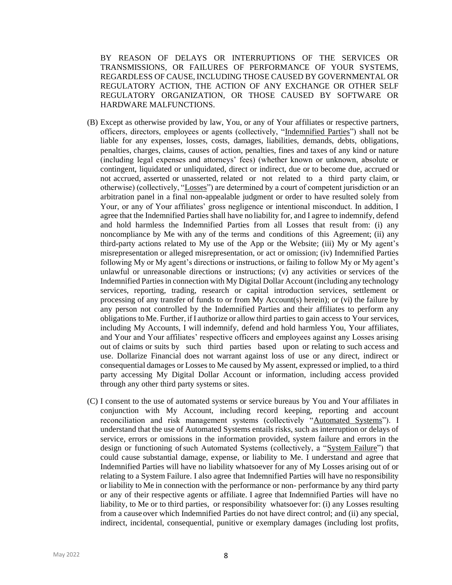BY REASON OF DELAYS OR INTERRUPTIONS OF THE SERVICES OR TRANSMISSIONS, OR FAILURES OF PERFORMANCE OF YOUR SYSTEMS, REGARDLESS OF CAUSE, INCLUDING THOSE CAUSED BY GOVERNMENTAL OR REGULATORY ACTION, THE ACTION OF ANY EXCHANGE OR OTHER SELF REGULATORY ORGANIZATION, OR THOSE CAUSED BY SOFTWARE OR HARDWARE MALFUNCTIONS.

- (B) Except as otherwise provided by law, You, or any of Your affiliates or respective partners, officers, directors, employees or agents (collectively, "Indemnified Parties") shall not be liable for any expenses, losses, costs, damages, liabilities, demands, debts, obligations, penalties, charges, claims, causes of action, penalties, fines and taxes of any kind or nature (including legal expenses and attorneys' fees) (whether known or unknown, absolute or contingent, liquidated or unliquidated, direct or indirect, due or to become due, accrued or not accrued, asserted or unasserted, related or not related to a third party claim, or otherwise) (collectively, "Losses") are determined by a court of competent jurisdiction or an arbitration panel in a final non-appealable judgment or order to have resulted solely from Your, or any of Your affiliates' gross negligence or intentional misconduct. In addition, I agree that the Indemnified Parties shall have no liability for, and I agree to indemnify, defend and hold harmless the Indemnified Parties from all Losses that result from: (i) any noncompliance by Me with any of the terms and conditions of this Agreement; (ii) any third-party actions related to My use of the App or the Website; (iii) My or My agent's misrepresentation or alleged misrepresentation, or act or omission; (iv) Indemnified Parties following My or My agent's directions or instructions, or failing to follow My or My agent's unlawful or unreasonable directions or instructions; (v) any activities or services of the Indemnified Parties in connection with My Digital Dollar Account (including any technology services, reporting, trading, research or capital introduction services, settlement or processing of any transfer of funds to or from  $My$  Account(s) herein); or (vi) the failure by any person not controlled by the Indemnified Parties and their affiliates to perform any obligations to Me. Further, if I authorize or allow third parties to gain access to Your services, including My Accounts, I will indemnify, defend and hold harmless You, Your affiliates, and Your and Your affiliates' respective officers and employees against any Losses arising out of claims or suits by such third parties based upon or relating to such access and use. Dollarize Financial does not warrant against loss of use or any direct, indirect or consequential damages or Losses to Me caused by My assent, expressed or implied, to a third party accessing My Digital Dollar Account or information, including access provided through any other third party systems or sites.
- (C) I consent to the use of automated systems or service bureaus by You and Your affiliates in conjunction with My Account, including record keeping, reporting and account reconciliation and risk management systems (collectively "Automated Systems"). I understand that the use of Automated Systems entails risks, such as interruption or delays of service, errors or omissions in the information provided, system failure and errors in the design or functioning ofsuch Automated Systems (collectively, a "System Failure") that could cause substantial damage, expense, or liability to Me. I understand and agree that Indemnified Parties will have no liability whatsoever for any of My Losses arising out of or relating to a System Failure. I also agree that Indemnified Parties will have no responsibility or liability to Me in connection with the performance or non- performance by any third party or any of their respective agents or affiliate. I agree that Indemnified Parties will have no liability, to Me or to third parties, or responsibility whatsoever for: (i) any Losses resulting from a cause over which Indemnified Parties do not have direct control; and (ii) any special, indirect, incidental, consequential, punitive or exemplary damages (including lost profits,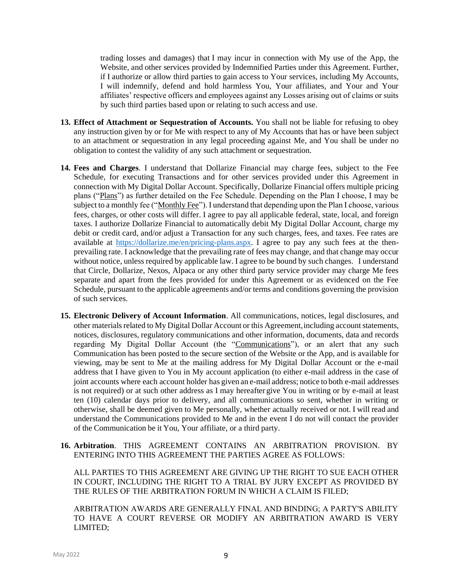trading losses and damages) that I may incur in connection with My use of the App, the Website, and other services provided by Indemnified Parties under this Agreement. Further, if I authorize or allow third parties to gain access to Your services, including My Accounts, I will indemnify, defend and hold harmless You, Your affiliates, and Your and Your affiliates' respective officers and employees against any Losses arising out of claims or suits by such third parties based upon or relating to such access and use.

- **13. Effect of Attachment or Sequestration of Accounts.** You shall not be liable for refusing to obey any instruction given by or for Me with respect to any of My Accounts that has or have been subject to an attachment or sequestration in any legal proceeding against Me, and You shall be under no obligation to contest the validity of any such attachment or sequestration.
- **14. Fees and Charges**. I understand that Dollarize Financial may charge fees, subject to the Fee Schedule, for executing Transactions and for other services provided under this Agreement in connection with My Digital Dollar Account. Specifically, Dollarize Financial offers multiple pricing plans ("Plans") as further detailed on the Fee Schedule. Depending on the Plan I choose, I may be subject to a monthly fee ("Monthly Fee"). I understand that depending upon the Plan I choose, various fees, charges, or other costs will differ. I agree to pay all applicable federal, state, local, and foreign taxes. I authorize Dollarize Financial to automatically debit My Digital Dollar Account, charge my debit or credit card, and/or adjust a Transaction for any such charges, fees, and taxes. Fee rates are available at [https://dollarize.me/en/pricing-plans.aspx.](https://dollarize.me/en/pricing-plans.aspx) I agree to pay any such fees at the thenprevailing rate. I acknowledge that the prevailing rate of fees may change, and that change may occur without notice, unless required by applicable law. I agree to be bound by such changes. I understand that Circle, Dollarize, Nexos, Alpaca or any other third party service provider may charge Me fees separate and apart from the fees provided for under this Agreement or as evidenced on the Fee Schedule, pursuant to the applicable agreements and/or terms and conditions governing the provision of such services.
- **15. Electronic Delivery of Account Information**. All communications, notices, legal disclosures, and other materials related to My Digital Dollar Account or this Agreement,including account statements, notices, disclosures, regulatory communications and other information, documents, data and records regarding My Digital Dollar Account (the "Communications"), or an alert that any such Communication has been posted to the secure section of the Website or the App, and is available for viewing, may be sent to Me at the mailing address for My Digital Dollar Account or the e-mail address that I have given to You in My account application (to either e-mail address in the case of joint accounts where each account holder has given an e-mail address; notice to both e-mail addresses is not required) or at such other address as I may hereafter give You in writing or by e-mail at least ten (10) calendar days prior to delivery, and all communications so sent, whether in writing or otherwise, shall be deemed given to Me personally, whether actually received or not. I will read and understand the Communications provided to Me and in the event I do not will contact the provider of the Communication be it You, Your affiliate, or a third party.
- **16. Arbitration**. THIS AGREEMENT CONTAINS AN ARBITRATION PROVISION. BY ENTERING INTO THIS AGREEMENT THE PARTIES AGREE AS FOLLOWS:

ALL PARTIES TO THIS AGREEMENT ARE GIVING UP THE RIGHT TO SUE EACH OTHER IN COURT, INCLUDING THE RIGHT TO A TRIAL BY JURY EXCEPT AS PROVIDED BY THE RULES OF THE ARBITRATION FORUM IN WHICH A CLAIM IS FILED;

ARBITRATION AWARDS ARE GENERALLY FINAL AND BINDING; A PARTY'S ABILITY TO HAVE A COURT REVERSE OR MODIFY AN ARBITRATION AWARD IS VERY LIMITED;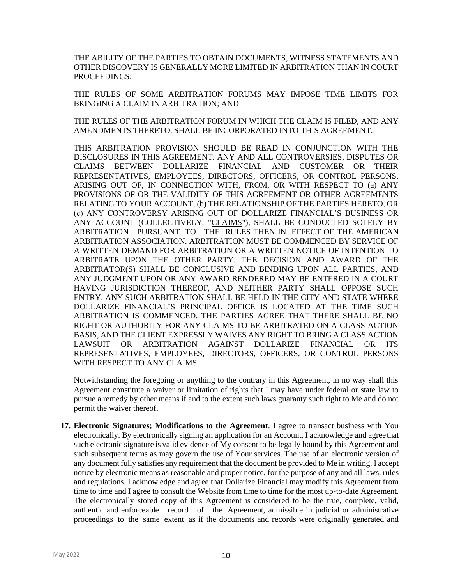THE ABILITY OF THE PARTIES TO OBTAIN DOCUMENTS, WITNESS STATEMENTS AND OTHER DISCOVERY IS GENERALLY MORE LIMITED IN ARBITRATION THAN IN COURT PROCEEDINGS;

THE RULES OF SOME ARBITRATION FORUMS MAY IMPOSE TIME LIMITS FOR BRINGING A CLAIM IN ARBITRATION; AND

THE RULES OF THE ARBITRATION FORUM IN WHICH THE CLAIM IS FILED, AND ANY AMENDMENTS THERETO, SHALL BE INCORPORATED INTO THIS AGREEMENT.

THIS ARBITRATION PROVISION SHOULD BE READ IN CONJUNCTION WITH THE DISCLOSURES IN THIS AGREEMENT. ANY AND ALL CONTROVERSIES, DISPUTES OR CLAIMS BETWEEN DOLLARIZE FINANCIAL AND CUSTOMER OR THEIR REPRESENTATIVES, EMPLOYEES, DIRECTORS, OFFICERS, OR CONTROL PERSONS, ARISING OUT OF, IN CONNECTION WITH, FROM, OR WITH RESPECT TO (a) ANY PROVISIONS OF OR THE VALIDITY OF THIS AGREEMENT OR OTHER AGREEMENTS RELATING TO YOUR ACCOUNT, (b) THE RELATIONSHIP OF THE PARTIES HERETO, OR (c) ANY CONTROVERSY ARISING OUT OF DOLLARIZE FINANCIAL'S BUSINESS OR ANY ACCOUNT (COLLECTIVELY, "CLAIMS"), SHALL BE CONDUCTED SOLELY BY ARBITRATION PURSUANT TO THE RULES THEN IN EFFECT OF THE AMERICAN ARBITRATION ASSOCIATION. ARBITRATION MUST BE COMMENCED BY SERVICE OF A WRITTEN DEMAND FOR ARBITRATION OR A WRITTEN NOTICE OF INTENTION TO ARBITRATE UPON THE OTHER PARTY. THE DECISION AND AWARD OF THE ARBITRATOR(S) SHALL BE CONCLUSIVE AND BINDING UPON ALL PARTIES, AND ANY JUDGMENT UPON OR ANY AWARD RENDERED MAY BE ENTERED IN A COURT HAVING JURISDICTION THEREOF, AND NEITHER PARTY SHALL OPPOSE SUCH ENTRY. ANY SUCH ARBITRATION SHALL BE HELD IN THE CITY AND STATE WHERE DOLLARIZE FINANCIAL'S PRINCIPAL OFFICE IS LOCATED AT THE TIME SUCH ARBITRATION IS COMMENCED. THE PARTIES AGREE THAT THERE SHALL BE NO RIGHT OR AUTHORITY FOR ANY CLAIMS TO BE ARBITRATED ON A CLASS ACTION BASIS, AND THE CLIENT EXPRESSLY WAIVES ANY RIGHT TO BRING A CLASS ACTION LAWSUIT OR ARBITRATION AGAINST DOLLARIZE FINANCIAL OR ITS REPRESENTATIVES, EMPLOYEES, DIRECTORS, OFFICERS, OR CONTROL PERSONS WITH RESPECT TO ANY CLAIMS.

Notwithstanding the foregoing or anything to the contrary in this Agreement, in no way shall this Agreement constitute a waiver or limitation of rights that I may have under federal or state law to pursue a remedy by other means if and to the extent such laws guaranty such right to Me and do not permit the waiver thereof.

**17. Electronic Signatures; Modifications to the Agreement**. I agree to transact business with You electronically. By electronically signing an application for an Account, I acknowledge and agree that such electronic signature is valid evidence of My consent to be legally bound by this Agreement and such subsequent terms as may govern the use of Your services. The use of an electronic version of any document fully satisfies any requirement that the document be provided to Me in writing. I accept notice by electronic means as reasonable and proper notice, for the purpose of any and all laws, rules and regulations. I acknowledge and agree that Dollarize Financial may modify this Agreement from time to time and I agree to consult the Website from time to time for the most up-to-date Agreement. The electronically stored copy of this Agreement is considered to be the true, complete, valid, authentic and enforceable record of the Agreement, admissible in judicial or administrative proceedings to the same extent as if the documents and records were originally generated and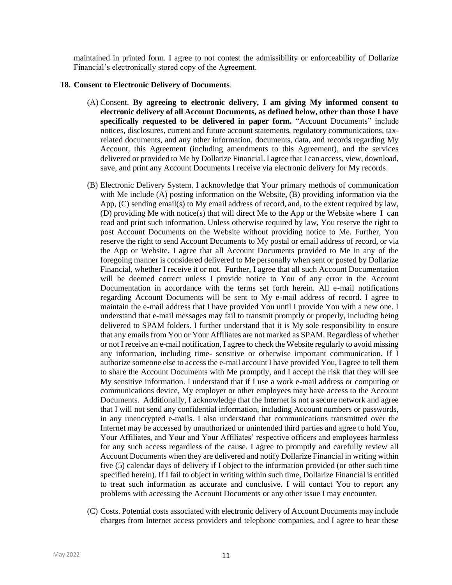maintained in printed form. I agree to not contest the admissibility or enforceability of Dollarize Financial's electronically stored copy of the Agreement.

#### **18. Consent to Electronic Delivery of Documents**.

- (A) Consent. **By agreeing to electronic delivery, I am giving My informed consent to electronic delivery of all Account Documents, as defined below, other than those I have specifically requested to be delivered in paper form.** "Account Documents" include notices, disclosures, current and future account statements, regulatory communications, taxrelated documents, and any other information, documents, data, and records regarding My Account, this Agreement (including amendments to this Agreement), and the services delivered or provided to Me by Dollarize Financial. I agree that I can access, view, download, save, and print any Account Documents I receive via electronic delivery for My records.
- (B) Electronic Delivery System. I acknowledge that Your primary methods of communication with Me include (A) posting information on the Website, (B) providing information via the App,  $(C)$  sending email(s) to My email address of record, and, to the extent required by law, (D) providing Me with notice(s) that will direct Me to the App or the Website where I can read and print such information. Unless otherwise required by law, You reserve the right to post Account Documents on the Website without providing notice to Me. Further, You reserve the right to send Account Documents to My postal or email address of record, or via the App or Website. I agree that all Account Documents provided to Me in any of the foregoing manner is considered delivered to Me personally when sent or posted by Dollarize Financial, whether I receive it or not. Further, I agree that all such Account Documentation will be deemed correct unless I provide notice to You of any error in the Account Documentation in accordance with the terms set forth herein. All e-mail notifications regarding Account Documents will be sent to My e-mail address of record. I agree to maintain the e-mail address that I have provided You until I provide You with a new one. I understand that e-mail messages may fail to transmit promptly or properly, including being delivered to SPAM folders. I further understand that it is My sole responsibility to ensure that any emails from You or Your Affiliates are not marked as SPAM. Regardless of whether or not I receive an e-mail notification, I agree to check the Website regularly to avoid missing any information, including time- sensitive or otherwise important communication. If I authorize someone else to access the e-mail account I have provided You, I agree to tell them to share the Account Documents with Me promptly, and I accept the risk that they will see My sensitive information. I understand that if I use a work e-mail address or computing or communications device, My employer or other employees may have access to the Account Documents. Additionally, I acknowledge that the Internet is not a secure network and agree that I will not send any confidential information, including Account numbers or passwords, in any unencrypted e-mails. I also understand that communications transmitted over the Internet may be accessed by unauthorized or unintended third parties and agree to hold You, Your Affiliates, and Your and Your Affiliates' respective officers and employees harmless for any such access regardless of the cause. I agree to promptly and carefully review all Account Documents when they are delivered and notify Dollarize Financial in writing within five (5) calendar days of delivery if I object to the information provided (or other such time specified herein). If I fail to object in writing within such time, Dollarize Financial is entitled to treat such information as accurate and conclusive. I will contact You to report any problems with accessing the Account Documents or any other issue I may encounter.
- (C) Costs. Potential costs associated with electronic delivery of Account Documents may include charges from Internet access providers and telephone companies, and I agree to bear these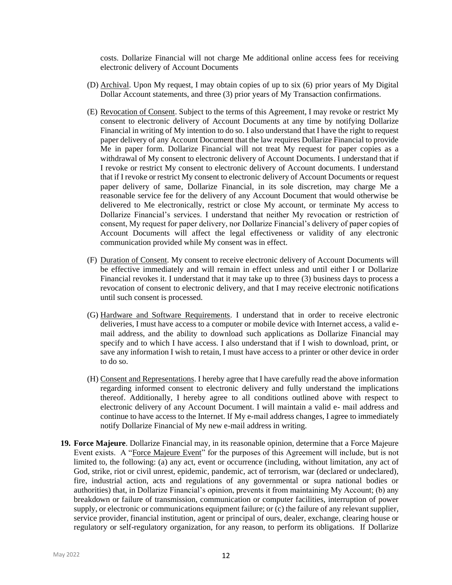costs. Dollarize Financial will not charge Me additional online access fees for receiving electronic delivery of Account Documents

- (D) Archival. Upon My request, I may obtain copies of up to six (6) prior years of My Digital Dollar Account statements, and three (3) prior years of My Transaction confirmations.
- (E) Revocation of Consent. Subject to the terms of this Agreement, I may revoke or restrict My consent to electronic delivery of Account Documents at any time by notifying Dollarize Financial in writing of My intention to do so. I also understand that I have the right to request paper delivery of any Account Document that the law requires Dollarize Financial to provide Me in paper form. Dollarize Financial will not treat My request for paper copies as a withdrawal of My consent to electronic delivery of Account Documents. I understand that if I revoke or restrict My consent to electronic delivery of Account documents. I understand that if I revoke or restrict My consent to electronic delivery of Account Documents or request paper delivery of same, Dollarize Financial, in its sole discretion, may charge Me a reasonable service fee for the delivery of any Account Document that would otherwise be delivered to Me electronically, restrict or close My account, or terminate My access to Dollarize Financial's services. I understand that neither My revocation or restriction of consent, My request for paper delivery, nor Dollarize Financial's delivery of paper copies of Account Documents will affect the legal effectiveness or validity of any electronic communication provided while My consent was in effect.
- (F) Duration of Consent. My consent to receive electronic delivery of Account Documents will be effective immediately and will remain in effect unless and until either I or Dollarize Financial revokes it. I understand that it may take up to three (3) business days to process a revocation of consent to electronic delivery, and that I may receive electronic notifications until such consent is processed.
- (G) Hardware and Software Requirements. I understand that in order to receive electronic deliveries, I must have access to a computer or mobile device with Internet access, a valid email address, and the ability to download such applications as Dollarize Financial may specify and to which I have access. I also understand that if I wish to download, print, or save any information I wish to retain, I must have access to a printer or other device in order to do so.
- (H) Consent and Representations. I hereby agree that I have carefully read the above information regarding informed consent to electronic delivery and fully understand the implications thereof. Additionally, I hereby agree to all conditions outlined above with respect to electronic delivery of any Account Document. I will maintain a valid e- mail address and continue to have access to the Internet. If My e-mail address changes, I agree to immediately notify Dollarize Financial of My new e-mail address in writing.
- **19. Force Majeure**. Dollarize Financial may, in its reasonable opinion, determine that a Force Majeure Event exists. A "Force Majeure Event" for the purposes of this Agreement will include, but is not limited to, the following: (a) any act, event or occurrence (including, without limitation, any act of God, strike, riot or civil unrest, epidemic, pandemic, act of terrorism, war (declared or undeclared), fire, industrial action, acts and regulations of any governmental or supra national bodies or authorities) that, in Dollarize Financial's opinion, prevents it from maintaining My Account; (b) any breakdown or failure of transmission, communication or computer facilities, interruption of power supply, or electronic or communications equipment failure; or (c) the failure of any relevant supplier, service provider, financial institution, agent or principal of ours, dealer, exchange, clearing house or regulatory or self-regulatory organization, for any reason, to perform its obligations. If Dollarize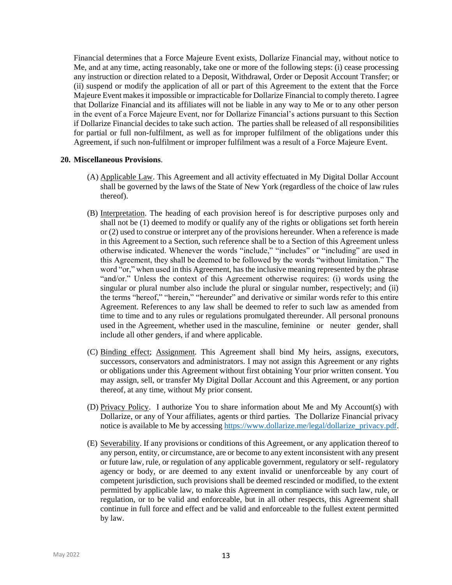Financial determines that a Force Majeure Event exists, Dollarize Financial may, without notice to Me, and at any time, acting reasonably, take one or more of the following steps: (i) cease processing any instruction or direction related to a Deposit, Withdrawal, Order or Deposit Account Transfer; or (ii) suspend or modify the application of all or part of this Agreement to the extent that the Force Majeure Event makes it impossible or impracticable for Dollarize Financial to comply thereto. I agree that Dollarize Financial and its affiliates will not be liable in any way to Me or to any other person in the event of a Force Majeure Event, nor for Dollarize Financial's actions pursuant to this Section if Dollarize Financial decides to take such action. The parties shall be released of all responsibilities for partial or full non-fulfilment, as well as for improper fulfilment of the obligations under this Agreement, if such non-fulfilment or improper fulfilment was a result of a Force Majeure Event.

#### **20. Miscellaneous Provisions**.

- (A) Applicable Law. This Agreement and all activity effectuated in My Digital Dollar Account shall be governed by the laws of the State of New York (regardless of the choice of law rules thereof).
- (B) Interpretation. The heading of each provision hereof is for descriptive purposes only and shall not be (1) deemed to modify or qualify any of the rights or obligations set forth herein or (2) used to construe or interpret any of the provisions hereunder. When a reference is made in this Agreement to a Section, such reference shall be to a Section of this Agreement unless otherwise indicated. Whenever the words "include," "includes" or "including" are used in this Agreement, they shall be deemed to be followed by the words "without limitation." The word "or," when used in this Agreement, has the inclusive meaning represented by the phrase "and/or." Unless the context of this Agreement otherwise requires: (i) words using the singular or plural number also include the plural or singular number, respectively; and (ii) the terms "hereof," "herein," "hereunder" and derivative or similar words refer to this entire Agreement. References to any law shall be deemed to refer to such law as amended from time to time and to any rules or regulations promulgated thereunder. All personal pronouns used in the Agreement, whether used in the masculine, feminine or neuter gender, shall include all other genders, if and where applicable.
- (C) Binding effect; Assignment. This Agreement shall bind My heirs, assigns, executors, successors, conservators and administrators. I may not assign this Agreement or any rights or obligations under this Agreement without first obtaining Your prior written consent. You may assign, sell, or transfer My Digital Dollar Account and this Agreement, or any portion thereof, at any time, without My prior consent.
- (D) Privacy Policy. I authorize You to share information about Me and My Account(s) with Dollarize, or any of Your affiliates, agents or third parties. The Dollarize Financial privacy notice is available to Me by accessin[g https://www.dollarize.me/legal/dollarize\\_privacy.pdf.](https://www.dollarize.me/legal/dollarize_privacy.pdf)
- (E) Severability. If any provisions or conditions of this Agreement, or any application thereof to any person, entity, or circumstance, are or become to any extent inconsistent with any present or future law, rule, or regulation of any applicable government, regulatory or self- regulatory agency or body, or are deemed to any extent invalid or unenforceable by any court of competent jurisdiction, such provisions shall be deemed rescinded or modified, to the extent permitted by applicable law, to make this Agreement in compliance with such law, rule, or regulation, or to be valid and enforceable, but in all other respects, this Agreement shall continue in full force and effect and be valid and enforceable to the fullest extent permitted by law.